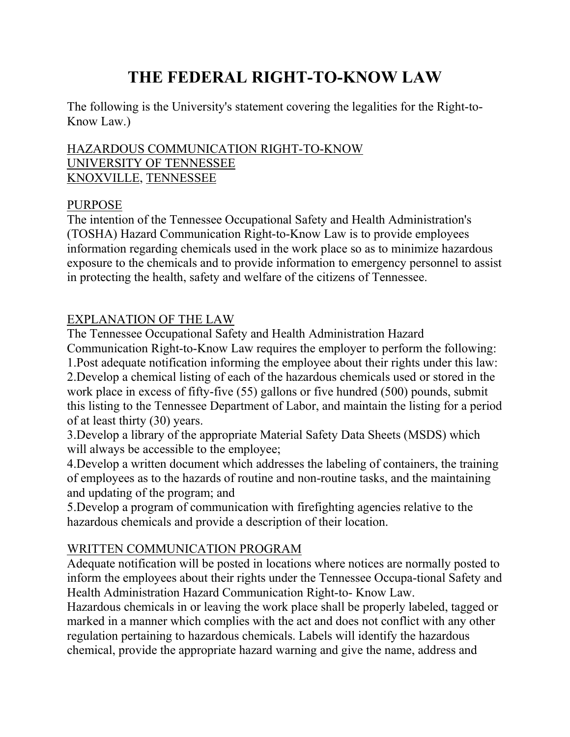# **THE FEDERAL RIGHT-TO-KNOW LAW**

The following is the University's statement covering the legalities for the Right-to-Know Law.)

#### HAZARDOUS COMMUNICATION RIGHT-TO-KNOW UNIVERSITY OF TENNESSEE KNOXVILLE, TENNESSEE

#### PURPOSE

The intention of the Tennessee Occupational Safety and Health Administration's (TOSHA) Hazard Communication Right-to-Know Law is to provide employees information regarding chemicals used in the work place so as to minimize hazardous exposure to the chemicals and to provide information to emergency personnel to assist in protecting the health, safety and welfare of the citizens of Tennessee.

# EXPLANATION OF THE LAW

The Tennessee Occupational Safety and Health Administration Hazard

Communication Right-to-Know Law requires the employer to perform the following: 1.Post adequate notification informing the employee about their rights under this law: 2.Develop a chemical listing of each of the hazardous chemicals used or stored in the work place in excess of fifty-five (55) gallons or five hundred (500) pounds, submit this listing to the Tennessee Department of Labor, and maintain the listing for a period of at least thirty (30) years.

3.Develop a library of the appropriate Material Safety Data Sheets (MSDS) which will always be accessible to the employee;

4.Develop a written document which addresses the labeling of containers, the training of employees as to the hazards of routine and non-routine tasks, and the maintaining and updating of the program; and

5.Develop a program of communication with firefighting agencies relative to the hazardous chemicals and provide a description of their location.

# WRITTEN COMMUNICATION PROGRAM

Adequate notification will be posted in locations where notices are normally posted to inform the employees about their rights under the Tennessee Occupa-tional Safety and Health Administration Hazard Communication Right-to- Know Law.

Hazardous chemicals in or leaving the work place shall be properly labeled, tagged or marked in a manner which complies with the act and does not conflict with any other regulation pertaining to hazardous chemicals. Labels will identify the hazardous chemical, provide the appropriate hazard warning and give the name, address and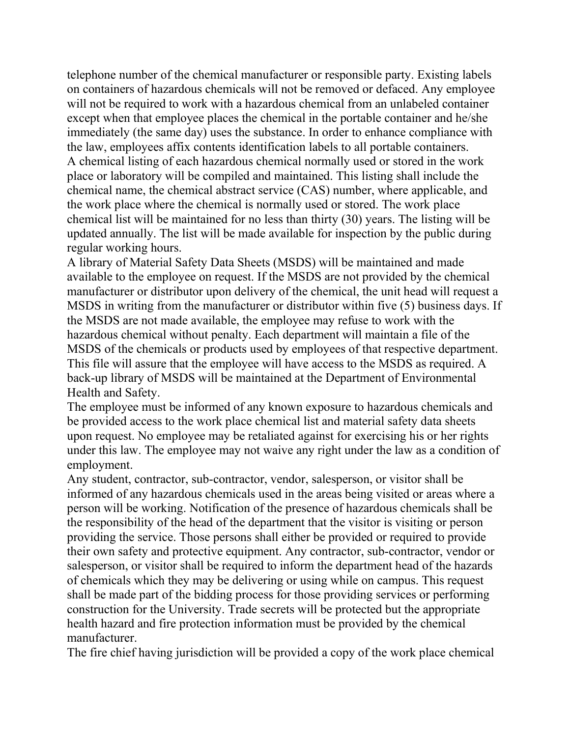telephone number of the chemical manufacturer or responsible party. Existing labels on containers of hazardous chemicals will not be removed or defaced. Any employee will not be required to work with a hazardous chemical from an unlabeled container except when that employee places the chemical in the portable container and he/she immediately (the same day) uses the substance. In order to enhance compliance with the law, employees affix contents identification labels to all portable containers. A chemical listing of each hazardous chemical normally used or stored in the work place or laboratory will be compiled and maintained. This listing shall include the chemical name, the chemical abstract service (CAS) number, where applicable, and the work place where the chemical is normally used or stored. The work place chemical list will be maintained for no less than thirty (30) years. The listing will be updated annually. The list will be made available for inspection by the public during regular working hours.

A library of Material Safety Data Sheets (MSDS) will be maintained and made available to the employee on request. If the MSDS are not provided by the chemical manufacturer or distributor upon delivery of the chemical, the unit head will request a MSDS in writing from the manufacturer or distributor within five (5) business days. If the MSDS are not made available, the employee may refuse to work with the hazardous chemical without penalty. Each department will maintain a file of the MSDS of the chemicals or products used by employees of that respective department. This file will assure that the employee will have access to the MSDS as required. A back-up library of MSDS will be maintained at the Department of Environmental Health and Safety.

The employee must be informed of any known exposure to hazardous chemicals and be provided access to the work place chemical list and material safety data sheets upon request. No employee may be retaliated against for exercising his or her rights under this law. The employee may not waive any right under the law as a condition of employment.

Any student, contractor, sub-contractor, vendor, salesperson, or visitor shall be informed of any hazardous chemicals used in the areas being visited or areas where a person will be working. Notification of the presence of hazardous chemicals shall be the responsibility of the head of the department that the visitor is visiting or person providing the service. Those persons shall either be provided or required to provide their own safety and protective equipment. Any contractor, sub-contractor, vendor or salesperson, or visitor shall be required to inform the department head of the hazards of chemicals which they may be delivering or using while on campus. This request shall be made part of the bidding process for those providing services or performing construction for the University. Trade secrets will be protected but the appropriate health hazard and fire protection information must be provided by the chemical manufacturer.

The fire chief having jurisdiction will be provided a copy of the work place chemical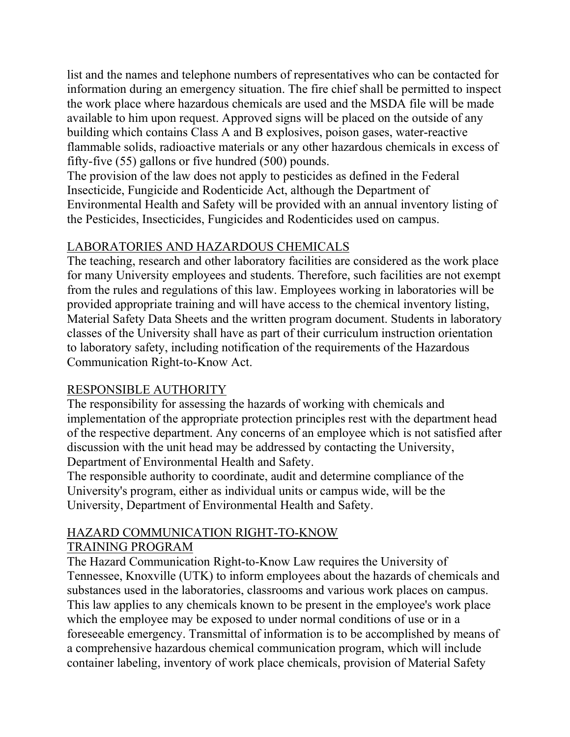list and the names and telephone numbers of representatives who can be contacted for information during an emergency situation. The fire chief shall be permitted to inspect the work place where hazardous chemicals are used and the MSDA file will be made available to him upon request. Approved signs will be placed on the outside of any building which contains Class A and B explosives, poison gases, water-reactive flammable solids, radioactive materials or any other hazardous chemicals in excess of fifty-five (55) gallons or five hundred (500) pounds.

The provision of the law does not apply to pesticides as defined in the Federal Insecticide, Fungicide and Rodenticide Act, although the Department of Environmental Health and Safety will be provided with an annual inventory listing of the Pesticides, Insecticides, Fungicides and Rodenticides used on campus.

### LABORATORIES AND HAZARDOUS CHEMICALS

The teaching, research and other laboratory facilities are considered as the work place for many University employees and students. Therefore, such facilities are not exempt from the rules and regulations of this law. Employees working in laboratories will be provided appropriate training and will have access to the chemical inventory listing, Material Safety Data Sheets and the written program document. Students in laboratory classes of the University shall have as part of their curriculum instruction orientation to laboratory safety, including notification of the requirements of the Hazardous Communication Right-to-Know Act.

#### RESPONSIBLE AUTHORITY

The responsibility for assessing the hazards of working with chemicals and implementation of the appropriate protection principles rest with the department head of the respective department. Any concerns of an employee which is not satisfied after discussion with the unit head may be addressed by contacting the University, Department of Environmental Health and Safety.

The responsible authority to coordinate, audit and determine compliance of the University's program, either as individual units or campus wide, will be the University, Department of Environmental Health and Safety.

# HAZARD COMMUNICATION RIGHT-TO-KNOW

#### TRAINING PROGRAM

The Hazard Communication Right-to-Know Law requires the University of Tennessee, Knoxville (UTK) to inform employees about the hazards of chemicals and substances used in the laboratories, classrooms and various work places on campus. This law applies to any chemicals known to be present in the employee's work place which the employee may be exposed to under normal conditions of use or in a foreseeable emergency. Transmittal of information is to be accomplished by means of a comprehensive hazardous chemical communication program, which will include container labeling, inventory of work place chemicals, provision of Material Safety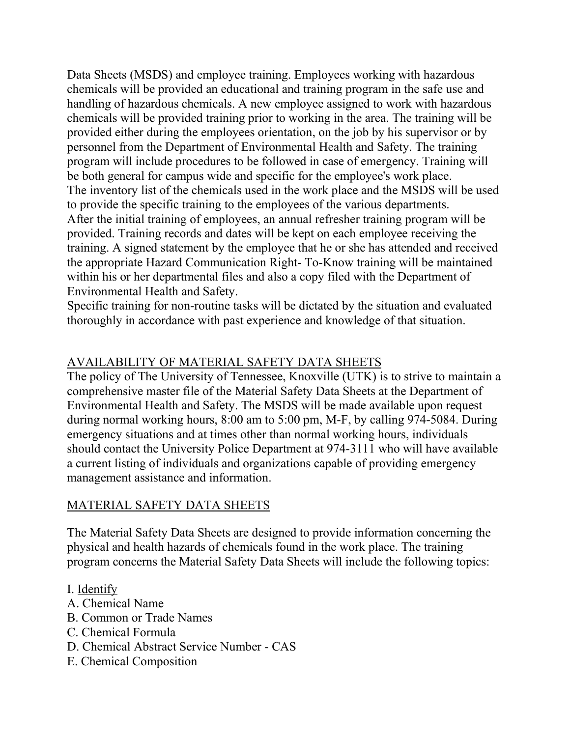Data Sheets (MSDS) and employee training. Employees working with hazardous chemicals will be provided an educational and training program in the safe use and handling of hazardous chemicals. A new employee assigned to work with hazardous chemicals will be provided training prior to working in the area. The training will be provided either during the employees orientation, on the job by his supervisor or by personnel from the Department of Environmental Health and Safety. The training program will include procedures to be followed in case of emergency. Training will be both general for campus wide and specific for the employee's work place. The inventory list of the chemicals used in the work place and the MSDS will be used to provide the specific training to the employees of the various departments. After the initial training of employees, an annual refresher training program will be provided. Training records and dates will be kept on each employee receiving the training. A signed statement by the employee that he or she has attended and received the appropriate Hazard Communication Right- To-Know training will be maintained within his or her departmental files and also a copy filed with the Department of Environmental Health and Safety.

Specific training for non-routine tasks will be dictated by the situation and evaluated thoroughly in accordance with past experience and knowledge of that situation.

#### AVAILABILITY OF MATERIAL SAFETY DATA SHEETS

The policy of The University of Tennessee, Knoxville (UTK) is to strive to maintain a comprehensive master file of the Material Safety Data Sheets at the Department of Environmental Health and Safety. The MSDS will be made available upon request during normal working hours, 8:00 am to 5:00 pm, M-F, by calling 974-5084. During emergency situations and at times other than normal working hours, individuals should contact the University Police Department at 974-3111 who will have available a current listing of individuals and organizations capable of providing emergency management assistance and information.

#### MATERIAL SAFETY DATA SHEETS

The Material Safety Data Sheets are designed to provide information concerning the physical and health hazards of chemicals found in the work place. The training program concerns the Material Safety Data Sheets will include the following topics:

- I. Identify
- A. Chemical Name
- B. Common or Trade Names
- C. Chemical Formula
- D. Chemical Abstract Service Number CAS
- E. Chemical Composition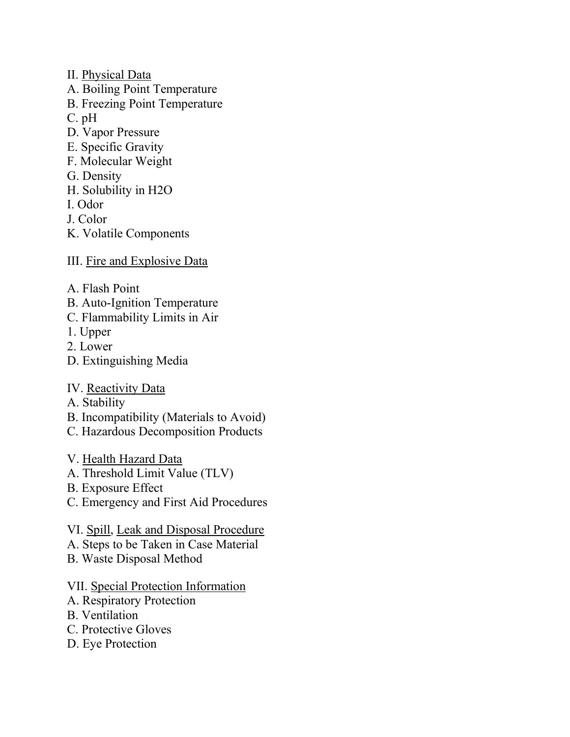- II. Physical Data
- A. Boiling Point Temperature
- B. Freezing Point Temperature
- C. pH
- D. Vapor Pressure
- E. Specific Gravity
- F. Molecular Weight
- G. Density
- H. Solubility in H2O
- I. Odor
- J. Color
- K. Volatile Components
- III. Fire and Explosive Data
- A. Flash Point
- B. Auto-Ignition Temperature
- C. Flammability Limits in Air
- 1. Upper
- 2. Lower
- D. Extinguishing Media
- IV. Reactivity Data
- A. Stability
- B. Incompatibility (Materials to Avoid)
- C. Hazardous Decomposition Products
- V. Health Hazard Data
- A. Threshold Limit Value (TLV)
- B. Exposure Effect
- C. Emergency and First Aid Procedures
- VI. Spill, Leak and Disposal Procedure
- A. Steps to be Taken in Case Material
- B. Waste Disposal Method

#### VII. Special Protection Information

- A. Respiratory Protection
- B. Ventilation
- C. Protective Gloves
- D. Eye Protection